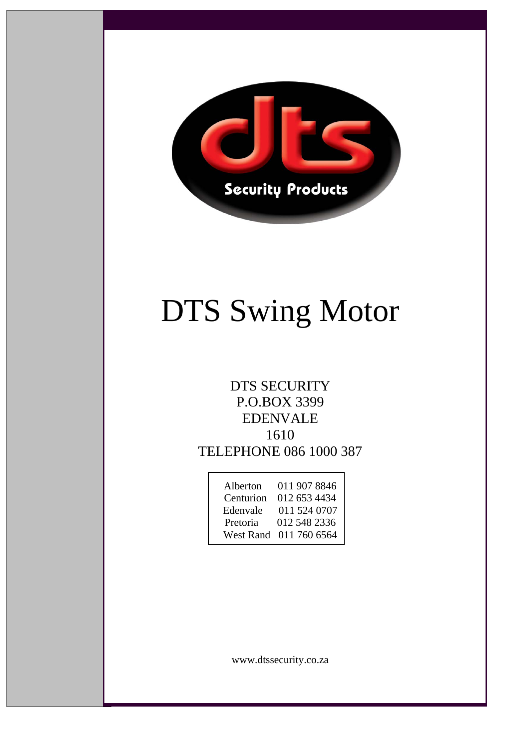

# DTS Swing Motor

# DTS SECURITY P.O.BOX 3399 EDENVALE 1610 TELEPHONE 086 1000 387

| Alberton  | 011 907 8846 |
|-----------|--------------|
| Centurion | 012 653 4434 |
| Edenvale  | 011 524 0707 |
| Pretoria  | 012 548 2336 |
| West Rand | 011 760 6564 |

www.dtssecurity.co.za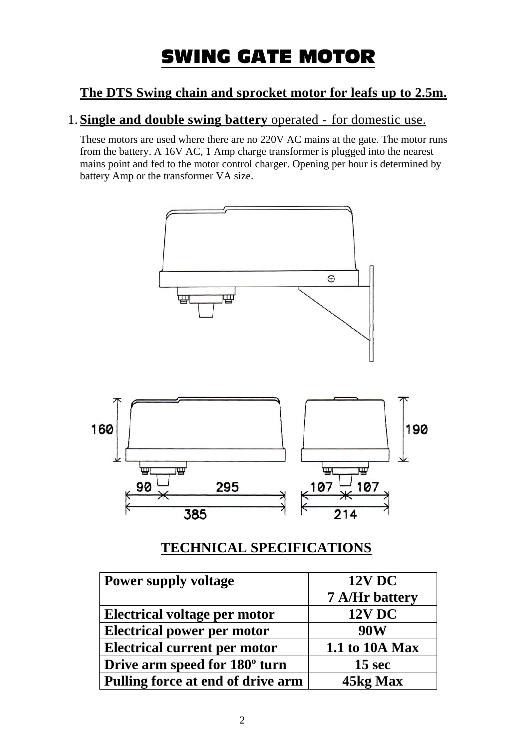# SWING GATE MOTOR

# **The DTS Swing chain and sprocket motor for leafs up to 2.5m.**

## 1.**Single and double swing battery** operated - for domestic use.

These motors are used where there are no 220V AC mains at the gate. The motor runs from the battery. A 16V AC, 1 Amp charge transformer is plugged into the nearest mains point and fed to the motor control charger. Opening per hour is determined by battery Amp or the transformer VA size.



# **TECHNICAL SPECIFICATIONS**

| <b>Power supply voltage</b>               | <b>12V DC</b>  |
|-------------------------------------------|----------------|
|                                           | 7 A/Hr battery |
| <b>Electrical voltage per motor</b>       | <b>12V DC</b>  |
| <b>Electrical power per motor</b>         | 90W            |
| <b>Electrical current per motor</b>       | 1.1 to 10A Max |
| Drive arm speed for 180 <sup>°</sup> turn | 15 sec         |
| Pulling force at end of drive arm         | 45kg Max       |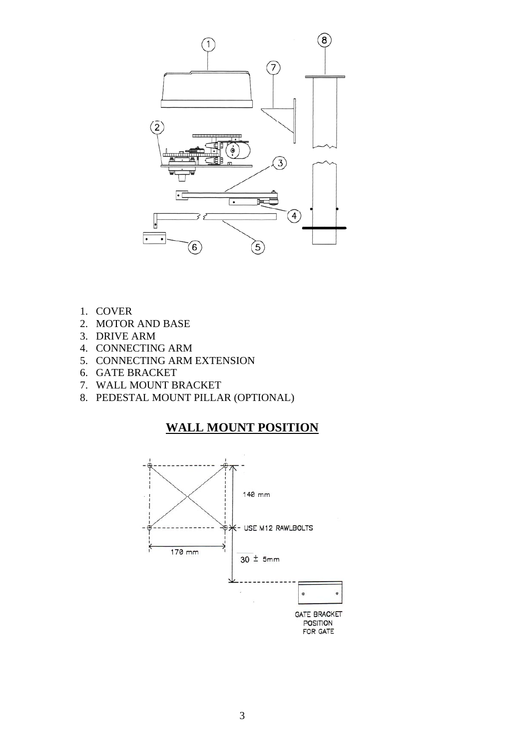

- 1. COVER
- 2. MOTOR AND BASE
- 3. DRIVE ARM
- 4. CONNECTING ARM
- 5. CONNECTING ARM EXTENSION
- 6. GATE BRACKET
- 7. WALL MOUNT BRACKET
- 8. PEDESTAL MOUNT PILLAR (OPTIONAL)

#### **WALL MOUNT POSITION**

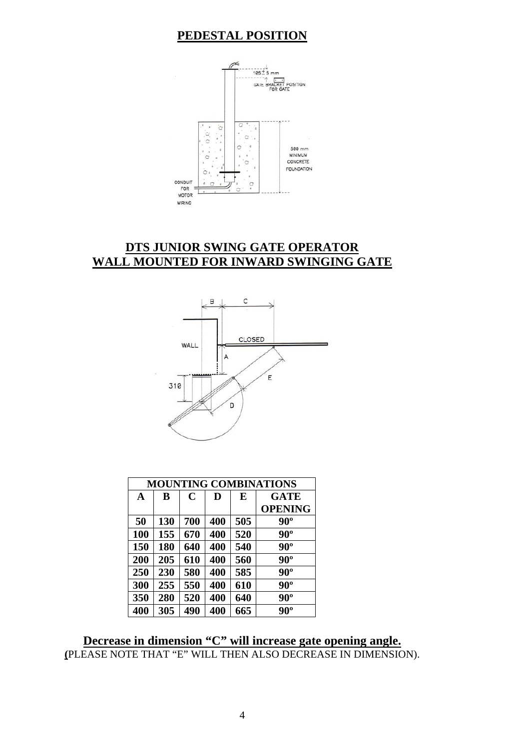#### **PEDESTAL POSITION**



#### **DTS JUNIOR SWING GATE OPERATOR WALL MOUNTED FOR INWARD SWINGING GATE**



| <b>MOUNTING COMBINATIONS</b> |     |             |     |     |                |
|------------------------------|-----|-------------|-----|-----|----------------|
| A                            | B   | $\mathbf C$ | D   | E   | <b>GATE</b>    |
|                              |     |             |     |     | <b>OPENING</b> |
| 50                           | 130 | 700         | 400 | 505 | $90^{\circ}$   |
| <b>100</b>                   | 155 | 670         | 400 | 520 | $90^{\circ}$   |
| 150                          | 180 | 640         | 400 | 540 | $90^\circ$     |
| 200                          | 205 | 610         | 400 | 560 | $90^\circ$     |
| 250                          | 230 | 580         | 400 | 585 | $90^\circ$     |
| 300                          | 255 | 550         | 400 | 610 | $90^\circ$     |
| 350                          | 280 | 520         | 400 | 640 | $90^\circ$     |
| 400                          | 305 | 490         | 400 | 665 | $90^{\circ}$   |

**Decrease in dimension "C" will increase gate opening angle. (**PLEASE NOTE THAT "E" WILL THEN ALSO DECREASE IN DIMENSION).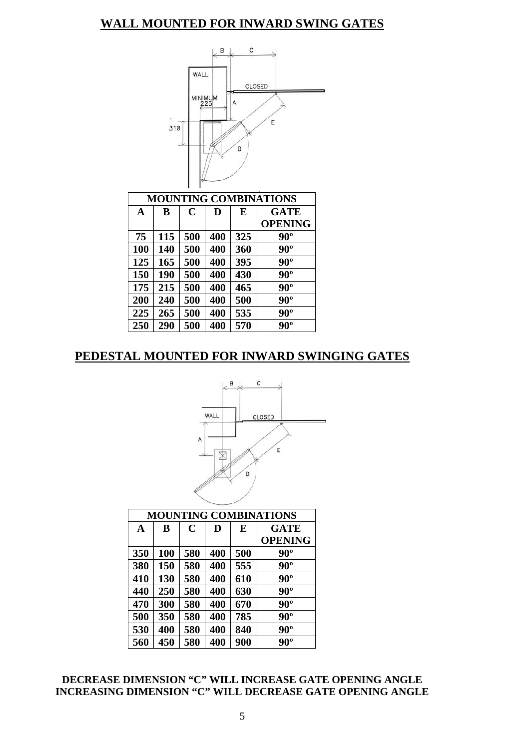#### **WALL MOUNTED FOR INWARD SWING GATES**



#### **PEDESTAL MOUNTED FOR INWARD SWINGING GATES**



| <b>MOUNTING COMBINATIONS</b> |     |             |     |     |                |
|------------------------------|-----|-------------|-----|-----|----------------|
| A                            | B   | $\mathbf C$ | D   | E   | <b>GATE</b>    |
|                              |     |             |     |     | <b>OPENING</b> |
| 350                          | 100 | 580         | 400 | 500 | $90^{\circ}$   |
| 380                          | 150 | 580         | 400 | 555 | $90^\circ$     |
| 410                          | 130 | 580         | 400 | 610 | $90^\circ$     |
| 440                          | 250 | 580         | 400 | 630 | $90^\circ$     |
| 470                          | 300 | 580         | 400 | 670 | $90^\circ$     |
| 500                          | 350 | 580         | 400 | 785 | $90^\circ$     |
| 530                          | 400 | 580         | 400 | 840 | $90^\circ$     |
| 560                          | 450 | 580         | 400 | 900 | $90^\circ$     |

#### **DECREASE DIMENSION "C" WILL INCREASE GATE OPENING ANGLE INCREASING DIMENSION "C" WILL DECREASE GATE OPENING ANGLE**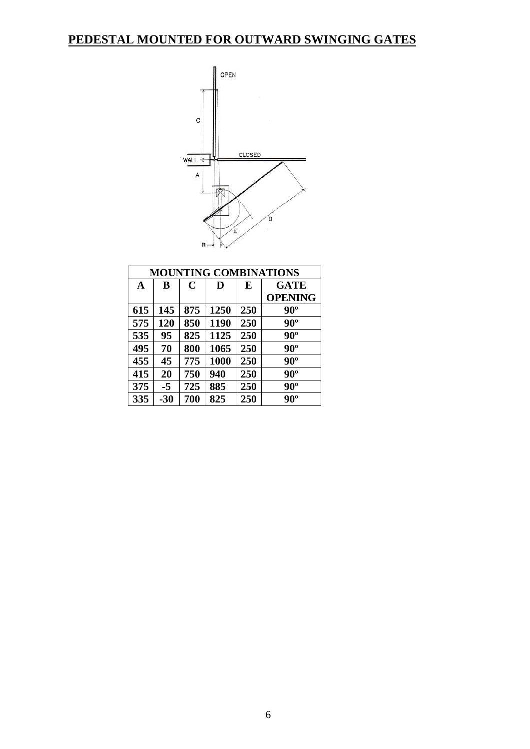# **PEDESTAL MOUNTED FOR OUTWARD SWINGING GATES**



| <b>MOUNTING COMBINATIONS</b> |       |             |      |     |                |
|------------------------------|-------|-------------|------|-----|----------------|
| A                            | B     | $\mathbf C$ | D    | E   | <b>GATE</b>    |
|                              |       |             |      |     | <b>OPENING</b> |
| 615                          | 145   | 875         | 1250 | 250 | $90^{\circ}$   |
| 575                          | 120   | 850         | 1190 | 250 | $90^\circ$     |
| 535                          | 95    | 825         | 1125 | 250 | $90^\circ$     |
| 495                          | 70    | 800         | 1065 | 250 | $90^\circ$     |
| 455                          | 45    | 775         | 1000 | 250 | $90^\circ$     |
| 415                          | 20    | 750         | 940  | 250 | $90^\circ$     |
| 375                          | -5    | 725         | 885  | 250 | $90^\circ$     |
| 335                          | $-30$ | 700         | 825  | 250 | $90^\circ$     |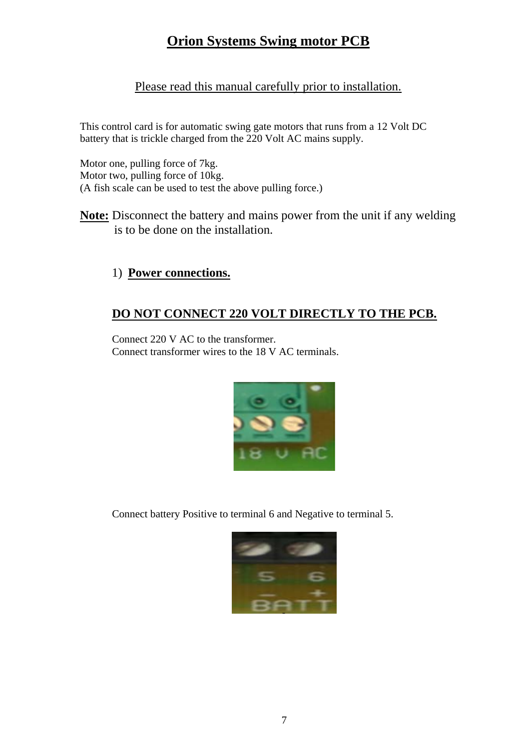# **Orion Systems Swing motor PCB**

#### Please read this manual carefully prior to installation.

This control card is for automatic swing gate motors that runs from a 12 Volt DC battery that is trickle charged from the 220 Volt AC mains supply.

Motor one, pulling force of 7kg. Motor two, pulling force of 10kg. (A fish scale can be used to test the above pulling force.)

**Note:** Disconnect the battery and mains power from the unit if any welding is to be done on the installation.

#### 1) **Power connections.**

#### **DO NOT CONNECT 220 VOLT DIRECTLY TO THE PCB.**

Connect 220 V AC to the transformer. Connect transformer wires to the 18 V AC terminals.



Connect battery Positive to terminal 6 and Negative to terminal 5.

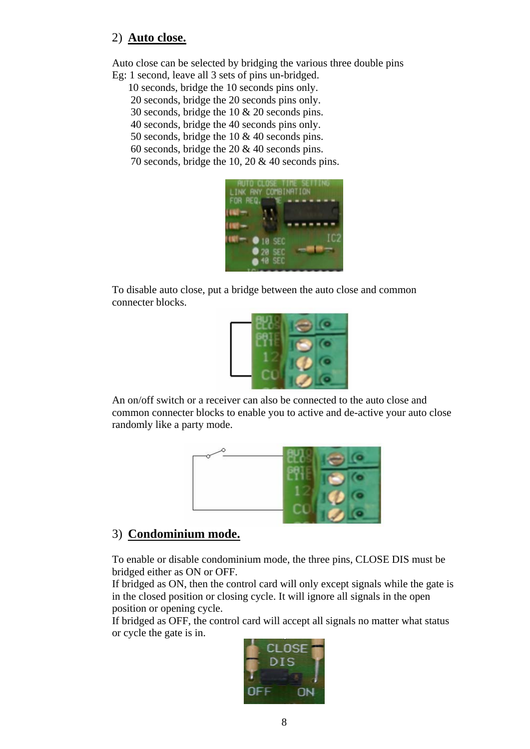#### 2) **Auto close.**

Auto close can be selected by bridging the various three double pins Eg: 1 second, leave all 3 sets of pins un-bridged.

- 10 seconds, bridge the 10 seconds pins only.
	- 20 seconds, bridge the 20 seconds pins only.
	- 30 seconds, bridge the 10 & 20 seconds pins.
	- 40 seconds, bridge the 40 seconds pins only.
	- 50 seconds, bridge the 10 & 40 seconds pins.
	- 60 seconds, bridge the 20 & 40 seconds pins.
	- 70 seconds, bridge the 10, 20 & 40 seconds pins.



To disable auto close, put a bridge between the auto close and common connecter blocks.



An on/off switch or a receiver can also be connected to the auto close and common connecter blocks to enable you to active and de-active your auto close randomly like a party mode.



#### 3) **Condominium mode.**

To enable or disable condominium mode, the three pins, CLOSE DIS must be bridged either as ON or OFF.

If bridged as ON, then the control card will only except signals while the gate is in the closed position or closing cycle. It will ignore all signals in the open position or opening cycle.

If bridged as OFF, the control card will accept all signals no matter what status or cycle the gate is in.

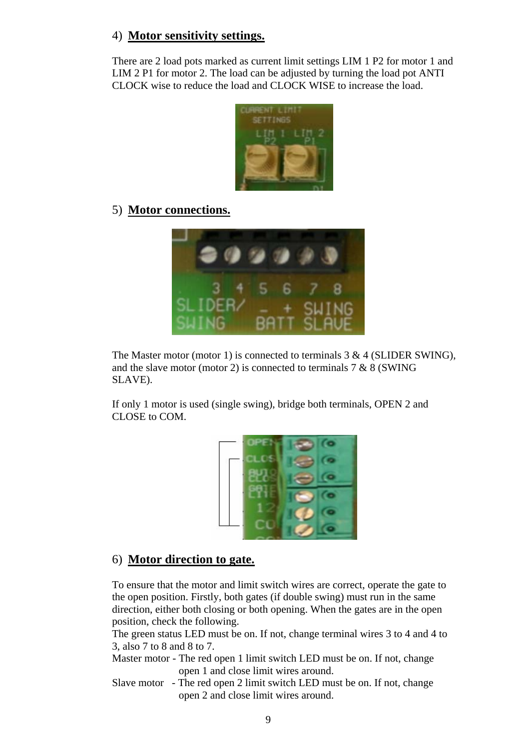#### 4) **Motor sensitivity settings.**

There are 2 load pots marked as current limit settings LIM 1 P2 for motor 1 and LIM 2 P1 for motor 2. The load can be adjusted by turning the load pot ANTI CLOCK wise to reduce the load and CLOCK WISE to increase the load.



#### 5) **Motor connections.**



The Master motor (motor 1) is connected to terminals  $3 \& 4$  (SLIDER SWING), and the slave motor (motor 2) is connected to terminals  $7 & 8$  (SWING) SLAVE).

If only 1 motor is used (single swing), bridge both terminals, OPEN 2 and CLOSE to COM.



#### 6) **Motor direction to gate.**

To ensure that the motor and limit switch wires are correct, operate the gate to the open position. Firstly, both gates (if double swing) must run in the same direction, either both closing or both opening. When the gates are in the open position, check the following.

The green status LED must be on. If not, change terminal wires 3 to 4 and 4 to 3, also 7 to 8 and 8 to 7.

- Master motor The red open 1 limit switch LED must be on. If not, change open 1 and close limit wires around.
- Slave motor The red open 2 limit switch LED must be on. If not, change open 2 and close limit wires around.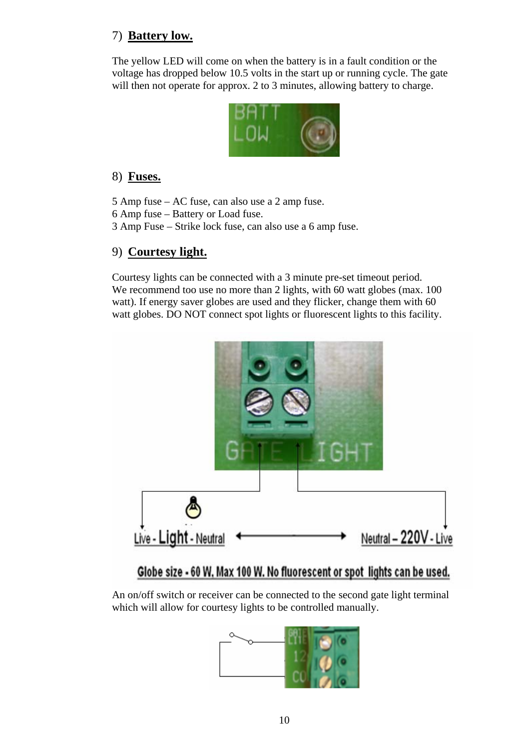## 7) **Battery low.**

The yellow LED will come on when the battery is in a fault condition or the voltage has dropped below 10.5 volts in the start up or running cycle. The gate will then not operate for approx. 2 to 3 minutes, allowing battery to charge.



#### 8) **Fuses.**

- 5 Amp fuse AC fuse, can also use a 2 amp fuse.
- 6 Amp fuse Battery or Load fuse.
- 3 Amp Fuse Strike lock fuse, can also use a 6 amp fuse.

#### 9) **Courtesy light.**

Courtesy lights can be connected with a 3 minute pre-set timeout period. We recommend too use no more than 2 lights, with 60 watt globes (max. 100) watt). If energy saver globes are used and they flicker, change them with 60 watt globes. DO NOT connect spot lights or fluorescent lights to this facility.



# Globe size - 60 W, Max 100 W. No fluorescent or spot lights can be used.

An on/off switch or receiver can be connected to the second gate light terminal which will allow for courtesy lights to be controlled manually.

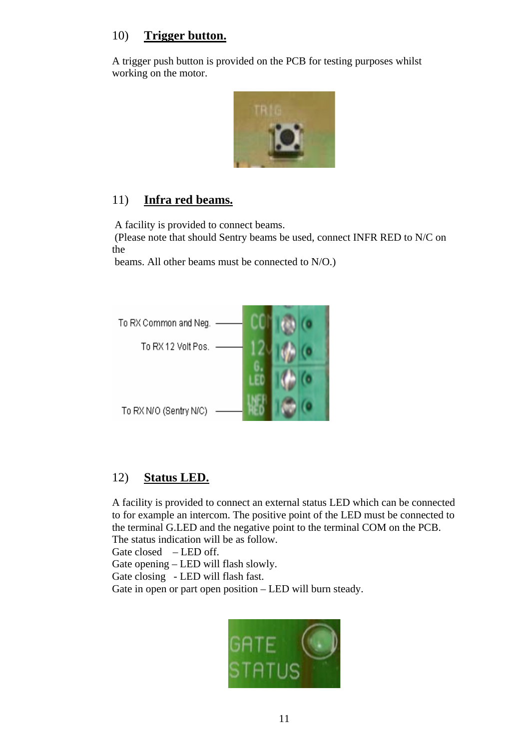#### 10) **Trigger button.**

A trigger push button is provided on the PCB for testing purposes whilst working on the motor.



#### 11) **Infra red beams.**

A facility is provided to connect beams.

 (Please note that should Sentry beams be used, connect INFR RED to N/C on the

beams. All other beams must be connected to N/O.)



#### 12) **Status LED.**

A facility is provided to connect an external status LED which can be connected to for example an intercom. The positive point of the LED must be connected to the terminal G.LED and the negative point to the terminal COM on the PCB. The status indication will be as follow.

Gate closed – LED off.

Gate opening – LED will flash slowly.

Gate closing - LED will flash fast.

Gate in open or part open position – LED will burn steady.